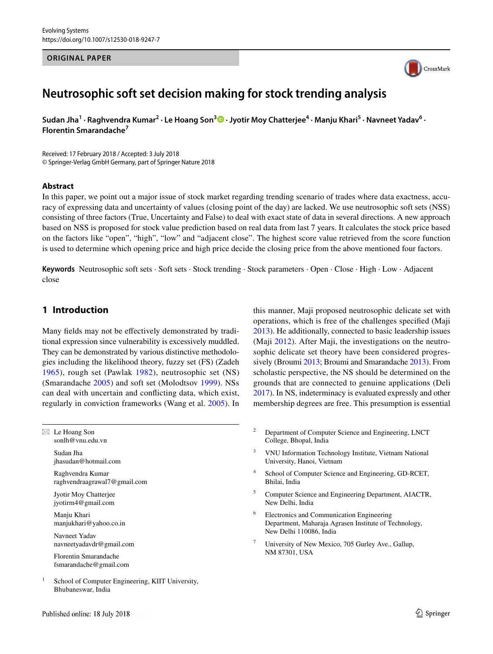### **ORIGINAL PAPER**



# **Neutrosophic soft set decision making for stock trending analysis**

 ${\sf S}$ udan Jha $^1$  [·](http://orcid.org/0000-0001-6356-0046) Raghvendra Kumar<sup>2</sup> · Le Hoang Son $^3$  • Jyotir Moy Chatterjee<sup>4</sup> · Manju Khari<sup>5</sup> · Navneet Yadav<sup>6</sup> · **Florentin Smarandache<sup>7</sup>**

Received: 17 February 2018 / Accepted: 3 July 2018 © Springer-Verlag GmbH Germany, part of Springer Nature 2018

### **Abstract**

In this paper, we point out a major issue of stock market regarding trending scenario of trades where data exactness, accuracy of expressing data and uncertainty of values (closing point of the day) are lacked. We use neutrosophic soft sets (NSS) consisting of three factors (True, Uncertainty and False) to deal with exact state of data in several directions. A new approach based on NSS is proposed for stock value prediction based on real data from last 7 years. It calculates the stock price based on the factors like "open", "high", "low" and "adjacent close". The highest score value retrieved from the score function is used to determine which opening price and high price decide the closing price from the above mentioned four factors.

**Keywords** Neutrosophic soft sets · Soft sets · Stock trending · Stock parameters · Open · Close · High · Low · Adjacent close

# **1 Introduction**

Many fields may not be effectively demonstrated by traditional expression since vulnerability is excessively muddled. They can be demonstrated by various distinctive methodologies including the likelihood theory, fuzzy set (FS) (Zadeh [1965](#page-6-0)), rough set (Pawlak [1982\)](#page-6-1), neutrosophic set (NS) (Smarandache [2005\)](#page-6-2) and soft set (Molodtsov [1999\)](#page-6-3). NSs can deal with uncertain and conflicting data, which exist, regularly in conviction frameworks (Wang et al. [2005\)](#page-6-4). In

 $\boxtimes$  Le Hoang Son sonlh@vnu.edu.vn

> Sudan Jha jhasudan@hotmail.com

Raghvendra Kumar raghvendraagrawal7@gmail.com

Jyotir Moy Chatterjee jyotirm4@gmail.com

Manju Khari manjukhari@yahoo.co.in

Navneet Yadav navneetyadavdr@gmail.com

Florentin Smarandache fsmarandache@gmail.com

<sup>1</sup> School of Computer Engineering, KIIT University, Bhubaneswar, India

this manner, Maji proposed neutrosophic delicate set with operations, which is free of the challenges specified (Maji [2013](#page-6-5)). He additionally, connected to basic leadership issues (Maji [2012](#page-6-6)). After Maji, the investigations on the neutrosophic delicate set theory have been considered progressively (Broumi [2013;](#page-5-0) Broumi and Smarandache [2013\)](#page-5-1). From scholastic perspective, the NS should be determined on the grounds that are connected to genuine applications (Deli [2017\)](#page-5-2). In NS, indeterminacy is evaluated expressly and other membership degrees are free. This presumption is essential

- <sup>2</sup> Department of Computer Science and Engineering, LNCT College, Bhopal, India
- <sup>3</sup> VNU Information Technology Institute, Vietnam National University, Hanoi, Vietnam
- <sup>4</sup> School of Computer Science and Engineering, GD-RCET, Bhilai, India
- <sup>5</sup> Computer Science and Engineering Department, AIACTR, New Delhi, India
- <sup>6</sup> Electronics and Communication Engineering Department, Maharaja Agrasen Institute of Technology, New Delhi 110086, India
- <sup>7</sup> University of New Mexico, 705 Gurley Ave., Gallup, NM 87301, USA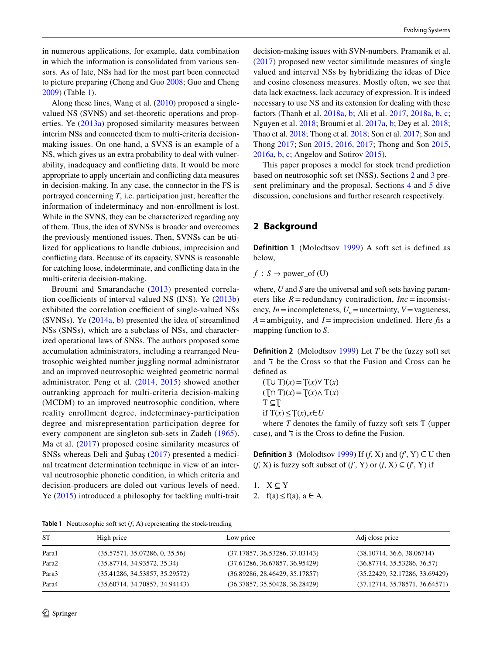in numerous applications, for example, data combination in which the information is consolidated from various sensors. As of late, NSs had for the most part been connected to picture preparing (Cheng and Guo [2008](#page-5-3); Guo and Cheng [2009](#page-5-4)) (Table [1\)](#page-1-0).

Along these lines, Wang et al. [\(2010](#page-6-7)) proposed a singlevalued NS (SVNS) and set-theoretic operations and properties. Ye ([2013a\)](#page-6-8) proposed similarity measures between interim NSs and connected them to multi-criteria decisionmaking issues. On one hand, a SVNS is an example of a NS, which gives us an extra probability to deal with vulnerability, inadequacy and conflicting data. It would be more appropriate to apply uncertain and conflicting data measures in decision-making. In any case, the connector in the FS is portrayed concerning *T*, i.e. participation just; hereafter the information of indeterminacy and non-enrollment is lost. While in the SVNS, they can be characterized regarding any of them. Thus, the idea of SVNSs is broader and overcomes the previously mentioned issues. Then, SVNSs can be utilized for applications to handle dubious, imprecision and conflicting data. Because of its capacity, SVNS is reasonable for catching loose, indeterminate, and conflicting data in the multi-criteria decision-making.

Broumi and Smarandache ([2013](#page-6-9)) presented correlation coefficients of interval valued NS (INS). Ye ([2013b\)](#page-6-10) exhibited the correlation coefficient of single-valued NSs (SVNSs). Ye ([2014a,](#page-6-11) [b](#page-6-12)) presented the idea of streamlined NSs (SNSs), which are a subclass of NSs, and characterized operational laws of SNSs. The authors proposed some accumulation administrators, including a rearranged Neutrosophic weighted number juggling normal administrator and an improved neutrosophic weighted geometric normal administrator. Peng et al. ([2014,](#page-6-13) [2015](#page-6-14)) showed another outranking approach for multi-criteria decision-making (MCDM) to an improved neutrosophic condition, where reality enrollment degree, indeterminacy-participation degree and misrepresentation participation degree for every component are singleton sub-sets in Zadeh ([1965](#page-6-0)). Ma et al. ([2017\)](#page-6-15) proposed cosine similarity measures of SNSs whereas Deli and Şubaş ([2017](#page-5-5)) presented a medicinal treatment determination technique in view of an interval neutrosophic phonetic condition, in which criteria and decision-producers are doled out various levels of need. Ye ([2015\)](#page-6-16) introduced a philosophy for tackling multi-trait decision-making issues with SVN-numbers. Pramanik et al. ([2017\)](#page-6-17) proposed new vector similitude measures of single valued and interval NSs by hybridizing the ideas of Dice and cosine closeness measures. Mostly often, we see that data lack exactness, lack accuracy of expression. It is indeed necessary to use NS and its extension for dealing with these factors (Thanh et al. [2018a](#page-6-18), [b](#page-6-19); Ali et al. [2017,](#page-5-6) [2018a](#page-5-7), [b,](#page-5-8) [c](#page-5-9); Nguyen et al. [2018;](#page-6-20) Broumi et al. [2017a,](#page-5-10) [b;](#page-5-11) Dey et al. [2018](#page-5-12); Thao et al. [2018;](#page-6-21) Thong et al. [2018;](#page-6-22) Son et al. [2017](#page-6-23); Son and Thong [2017](#page-6-24); Son [2015,](#page-6-25) [2016](#page-6-26), [2017;](#page-6-27) Thong and Son [2015,](#page-6-28) [2016a,](#page-6-29) [b,](#page-6-30) [c](#page-6-31); Angelov and Sotirov [2015\)](#page-5-13).

This paper proposes a model for stock trend prediction based on neutrosophic soft set (NSS). Sections [2](#page-1-1) and [3](#page-2-0) present preliminary and the proposal. Sections [4](#page-3-0) and [5](#page-5-14) dive discussion, conclusions and further research respectively.

# <span id="page-1-1"></span>**2 Background**

**Definition 1** (Molodtsov [1999](#page-6-3)) A soft set is defined as below,

 $f : S \rightarrow power\_of(U)$ 

where, *U* and *S* are the universal and soft sets having parameters like  $R$  = redundancy contradiction,  $Inc$  = inconsistency,  $In =$  incompleteness,  $U_n$  = uncertainty,  $V$  = vagueness, *A*=ambiguity, and *I*=imprecision undefined. Here *f*is a mapping function to *S*.

**Definition 2** (Molodtsov [1999](#page-6-3)) Let *Ƭ* be the fuzzy soft set and  $\overline{7}$  be the Cross so that the Fusion and Cross can be defined as

 $(T ∪ T)(x) = T(x) ∨ T(x)$  $(T∩ T)(x) = T(x) ∧ T(x)$  $T \subseteq T$ if  $T(x) ≤ T(x), x ∈ U$ 

where *T* denotes the family of fuzzy soft sets T (upper case), and  $\overline{7}$  is the Cross to define the Fusion.

**Definition 3** (Molodtsov [1999](#page-6-3)) If  $(f, X)$  and  $(f, Y) \in U$  then (*f*, X) is fuzzy soft subset of (*f*<sup> $f$ </sup>, Y) or (*f*, X)  $\subseteq$  (*f*<sup> $f$ </sup>, Y) if

1.  $X \subset Y$ 2.  $f(a) \leq f(a)$ ,  $a \in A$ .

<span id="page-1-0"></span>**Table 1** Neutrosophic soft set (*f*, A) representing the stock-trending

| <b>ST</b> | High price                     | Low price                      | Adj close price                |
|-----------|--------------------------------|--------------------------------|--------------------------------|
| Para1     | (35.57571, 35.07286, 0, 35.56) | (37.17857, 36.53286, 37.03143) | (38.10714, 36.6, 38.06714)     |
| Para2     | (35.87714, 34.93572, 35.34)    | (37.61286, 36.67857, 36.95429) | (36.87714, 35.53286, 36.57)    |
| Para3     | (35.41286, 34.53857, 35.29572) | (36.89286, 28.46429, 35.17857) | (35.22429, 32.17286, 33.69429) |
| Para4     | (35.60714, 34.70857, 34.94143) | (36.37857, 35.50428, 36.28429) | (37.12714, 35.78571, 36.64571) |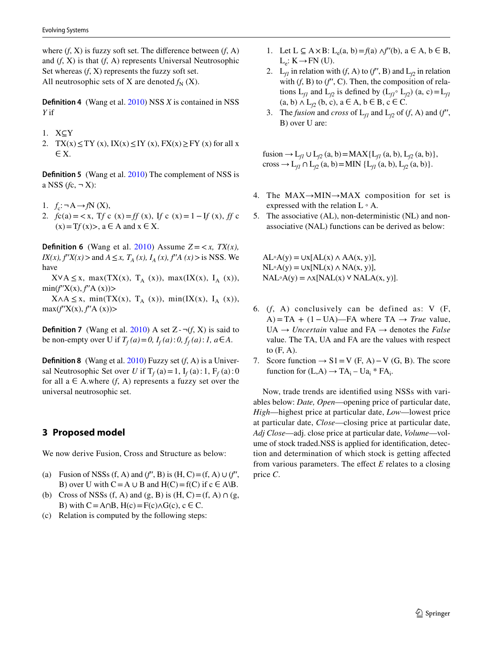where  $(f, X)$  is fuzzy soft set. The difference between  $(f, A)$ and (*f*, X) is that (*f*, A) represents Universal Neutrosophic Set whereas  $(f, X)$  represents the fuzzy soft set. All neutrosophic sets of X are denoted  $f_N$  (X).

**Definition 4** (Wang et al. [2010\)](#page-6-7) NSS *X* is contained in NSS *Y* if

- 1. X⊆Y
- 2. TX(x)  $\leq$  TY (x), IX(x)  $\leq$  IY (x), FX(x)  $\geq$  FY (x) for all x ∈ X.

**Definition 5** (Wang et al. [2010\)](#page-6-7) The complement of NSS is a NSS  $(fc, \neg X)$ :

- 1.  $f_c$ : $\neg A \rightarrow fN(X)$ ,
- 2.  $f c(a) = \langle x, T f c(x) = f f(x), I f c(x) = 1 I f(x), f f c(x)$  $(x) = Tf(x)$ ,  $a \in A$  and  $x \in X$ .

**Definition 6** (Wang et al. [2010](#page-6-7)) Assume  $Z = \langle x, TX(x), \rangle$ *IX(x), f'X(x)* > and *A*  $\leq$ *x, T<sub>A</sub> (x), I<sub>A</sub> (x), f'A (x)* > is NSS. We have

 $X\vee A \leq x$ , max(TX(x), T<sub>A</sub> (x)), max(IX(x), I<sub>A</sub> (x)),  $min(f'X(x), f'A(x))>$ 

 $X \wedge A \leq x$ , min(TX(x), T<sub>A</sub> (x)), min(IX(x), I<sub>A</sub> (x)),  $max(f'X(x), f'A(x))>$ 

**Definition 7** (Wang et al. [2010\)](#page-6-7) A set  $Z - \neg(f, X)$  is said to be non-empty over U if  $T_f(a) = 0$ ,  $I_f(a) : 0, f_f(a) : 1, a \in A$ .

**Definition 8** (Wang et al. [2010\)](#page-6-7) Fuzzy set (*f*, A) is a Universal Neutrosophic Set over *U* if  $T_f$  (a) = 1,  $I_f$  (a): 1,  $F_f$  (a): 0 for all  $a \in A$ .where  $(f, A)$  represents a fuzzy set over the universal neutrosophic set.

# <span id="page-2-0"></span>**3 Proposed model**

We now derive Fusion, Cross and Structure as below:

- (a) Fusion of NSSs  $(f, A)$  and  $(f', B)$  is  $(H, C) = (f, A) \cup (f',$ B) over U with  $C = A \cup B$  and  $H(C) = f(C)$  if  $c \in A \setminus B$ .
- (b) Cross of NSSs (f, A) and (g, B) is  $(H, C) = (f, A) \cap (g,$ B) with  $C = A \cap B$ ,  $H(c) = F(c) \land G(c)$ ,  $c \in C$ .
- (c) Relation is computed by the following steps:
- 1. Let  $L \subseteq A \times B$ :  $L_e(a, b) = f(a) \land f''(b)$ ,  $a \in A, b \in B$ ,  $L_e: K \rightarrow FN$  (U).
- 2. L<sub>*fl*</sub> in relation with (*f*, A) to (*f'*, B) and L<sub>*f*2</sub> in relation with  $(f, B)$  to  $(f', C)$ . Then, the composition of relations  $L_f$  and  $L_f$  is defined by  $(L_f \circ L_f)$  (a, c) =  $L_f$  $(a, b) \wedge L_{f2}$   $(b, c)$ ,  $a \in A$ ,  $b \in B$ ,  $c \in C$ .
- 3. The *fusion* and *cross* of  $L_f$  and  $L_f$  of (*f*, A) and (*f'*, B) over U are:

fusion → L<sub>*f1*</sub> ∪ L<sub>*f2*</sub> (a, b) = MAX{L<sub>*f1</sub>* (a, b), L<sub>*f2*</sub> (a, b)},</sub> cross → L<sub>f1</sub> ∩ L<sub>f2</sub> (a, b) = MIN {L<sub>f1</sub> (a, b), L<sub>f2</sub> (a, b)}.

- 4. The  $MAX \rightarrow MIN \rightarrow MAX$  composition for set is expressed with the relation  $L \circ A$ .
- 5. The associative (AL), non-deterministic (NL) and nonassociative (NAL) functions can be derived as below:

 $AL \circ A(y) = \cup x[AL(x) \land AA(x, y)],$  $NL \circ A(y) = \bigcup x [NL(x) \land NA(x, y)],$  $NAL \circ A(y) = \Lambda x [NAL(x) \vee NALA(x, y)].$ 

- 6. (*f*, A) conclusively can be defined as: V (F, A) = TA +  $(1 - UA)$ —FA where TA  $\rightarrow$  *True* value, UA → *Uncertain* value and FA → denotes the *False* value. The TA, UA and FA are the values with respect to  $(F, A)$ .
- 7. Score function  $\rightarrow$  S1 = V (F, A) V (G, B). The score function for  $(L,A) \rightarrow TA_i - Ua_i * FA_i$ .

Now, trade trends are identified using NSSs with variables below: *Date, Open*—opening price of particular date, *High*—highest price at particular date, *Low*—lowest price at particular date, *Close*—closing price at particular date, *Adj Close*—adj. close price at particular date, *Volume*—volume of stock traded.NSS is applied for identification, detection and determination of which stock is getting affected from various parameters. The effect *E* relates to a closing price *C*.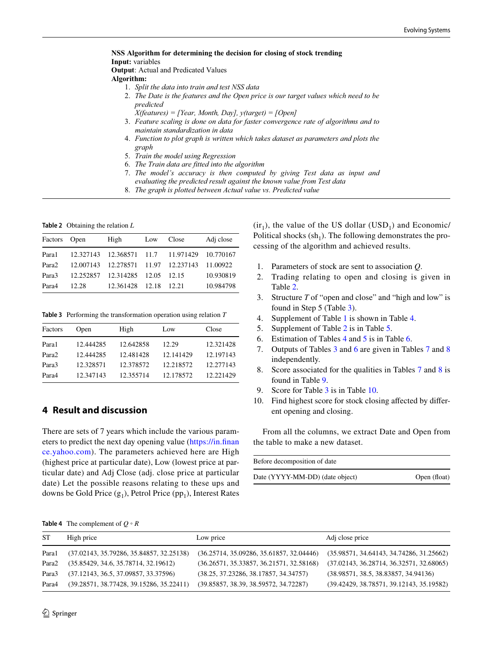**NSS Algorithm for determining the decision for closing of stock trending Input:** variables **Output**: Actual and Predicated Values **Algorithm:** 1. *Split the data into train and test NSS data* 2. *The Date is the features and the Open price is our target values which need to be predicted X(features) = [Year, Month, Day], y(target) = [Open]*

- 3. *Feature scaling is done on data for faster convergence rate of algorithms and to maintain standardization in data*
- 4. *Function to plot graph is written which takes dataset as parameters and plots the graph*
- 5. *Train the model using Regression*
- 6. *The Train data are fitted into the algorithm*
- 7. *The model's accuracy is then computed by giving Test data as input and evaluating the predicted result against the known value from Test data*
- 8. *The graph is plotted between Actual value vs. Predicted value*

<span id="page-3-1"></span>**Table 2** Obtaining the relation *L*

| Factors Open      |           | High                               | Low   | Close                                        | Adj close |
|-------------------|-----------|------------------------------------|-------|----------------------------------------------|-----------|
| Para1             |           |                                    |       | 12.327143 12.368571 11.7 11.971429 10.770167 |           |
| Para <sub>2</sub> | 12.007143 | 12.278571 11.97 12.237143          |       |                                              | 11.00922  |
| Para3             |           | 12.252857  12.314285  12.05  12.15 |       |                                              | 10.930819 |
| Para4             | 12.28     | 12.361428                          | 12.18 | 12.21                                        | 10.984798 |

<span id="page-3-2"></span>**Table 3** Performing the transformation operation using relation *T*

| Factors           | Open      | High      | Low       | Close     |
|-------------------|-----------|-----------|-----------|-----------|
| Para1             | 12.444285 | 12.642858 | 12.29     | 12.321428 |
| Para <sub>2</sub> | 12.444285 | 12.481428 | 12.141429 | 12.197143 |
| Para3             | 12.328571 | 12.378572 | 12.218572 | 12.277143 |
| Para4             | 12.347143 | 12.355714 | 12.178572 | 12.221429 |

## <span id="page-3-0"></span>**4 Result and discussion**

There are sets of 7 years which include the various parameters to predict the next day opening value [\(https://in.finan](https://in.finance.yahoo.com) [ce.yahoo.com](https://in.finance.yahoo.com)). The parameters achieved here are High (highest price at particular date), Low (lowest price at particular date) and Adj Close (adj. close price at particular date) Let the possible reasons relating to these ups and downs be Gold Price  $(g_1)$ , Petrol Price (pp<sub>1</sub>), Interest Rates  $(ir_1)$ , the value of the US dollar (USD<sub>1</sub>) and Economic/ Political shocks  $(sh<sub>1</sub>)$ . The following demonstrates the processing of the algorithm and achieved results.

- 1. Parameters of stock are sent to association *Q*.
- 2. Trading relating to open and closing is given in Table [2](#page-3-1).
- 3. Structure *T* of "open and close" and "high and low" is found in Step 5 (Table [3](#page-3-2)).
- 4. Supplement of Table [1](#page-1-0) is shown in Table [4](#page-3-3).
- 5. Supplement of Table [2](#page-3-1) is in Table [5.](#page-4-0)
- 6. Estimation of Tables [4](#page-3-3) and [5](#page-4-0) is in Table [6.](#page-4-1)
- 7. Outputs of Tables [3](#page-3-2) and [6](#page-4-1) are given in Tables [7](#page-5-15) and [8](#page-5-16) independently.
- 8. Score associated for the qualities in Tables [7](#page-5-15) and [8](#page-5-16) is found in Table [9](#page-5-17).
- 9. Score for Table [3](#page-3-2) is in Table [10.](#page-5-18)
- 10. Find highest score for stock closing affected by different opening and closing.

From all the columns, we extract Date and Open from the table to make a new dataset.

| Before decomposition of date    |              |
|---------------------------------|--------------|
| Date (YYYY-MM-DD) (date object) | Open (float) |

<span id="page-3-3"></span>**Table 4** The complement of *Q ◦ R*

| ST    | High price                                 | Low price                                  | Adj close price                            |
|-------|--------------------------------------------|--------------------------------------------|--------------------------------------------|
| Para1 | $(37.02143, 35.79286, 35.84857, 32.25138)$ | $(36.25714, 35.09286, 35.61857, 32.04446)$ | $(35.98571, 34.64143, 34.74286, 31.25662)$ |
| Para2 | (35.85429, 34.6, 35.78714, 32.19612)       | $(36.26571, 35.33857, 36.21571, 32.58168)$ | $(37.02143, 36.28714, 36.32571, 32.68065)$ |
| Para3 | (37.12143, 36.5, 37.09857, 33.37596)       | (38.25, 37.23286, 38.17857, 34.34757)      | (38.98571, 38.5, 38.83857, 34.94136)       |
| Para4 | $(39.28571, 38.77428, 39.15286, 35.22411)$ | (39.85857, 38.39, 38.59572, 34.72287)      | $(39.42429, 38.78571, 39.12143, 35.19582)$ |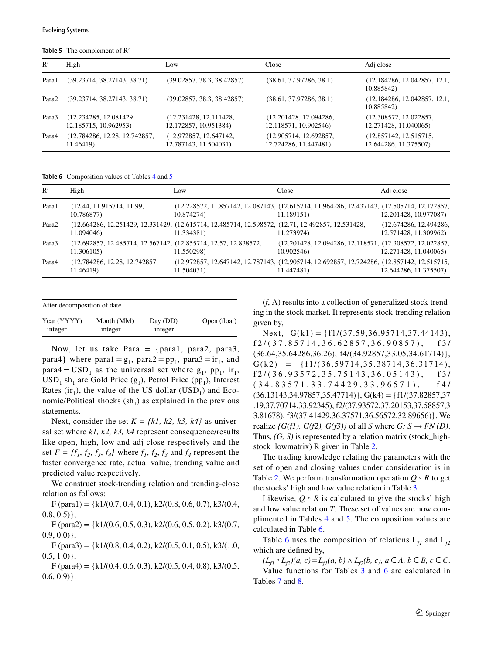<span id="page-4-0"></span>**Table 5** The complement of R′

| High                                            | Low                                             | Close                                           | Adj close                                       |
|-------------------------------------------------|-------------------------------------------------|-------------------------------------------------|-------------------------------------------------|
| (39.23714, 38.27143, 38.71)                     | (39.02857, 38.3, 38.42857)                      | (38.61, 37.97286, 38.1)                         | (12.184286, 12.042857, 12.1,<br>10.885842)      |
| (39.23714, 38.27143, 38.71)                     | (39.02857, 38.3, 38.42857)                      | (38.61, 37.97286, 38.1)                         | (12.184286, 12.042857, 12.1,<br>10.885842)      |
| (12.234285, 12.081429,<br>12.185715, 10.962953) | (12.231428, 12.111428,<br>12.172857, 10.951384) | (12.201428, 12.094286,<br>12.118571, 10.902546) | (12.308572, 12.022857,<br>12.271428, 11.040065) |
| (12.784286, 12.28, 12.742857,<br>11.46419)      | (12.972857, 12.647142,<br>12.787143, 11.504031) | (12.905714, 12.692857,<br>12.724286, 11.447481) | (12.857142, 12.515715,<br>12.644286, 11.375507) |
|                                                 |                                                 |                                                 |                                                 |

<span id="page-4-1"></span>**Table 6** Composition values of Tables [4](#page-3-3) and [5](#page-4-0)

| R'                | High                                                                          | Low                                                                                                             | Close                                                                                                    | Adj close                                       |
|-------------------|-------------------------------------------------------------------------------|-----------------------------------------------------------------------------------------------------------------|----------------------------------------------------------------------------------------------------------|-------------------------------------------------|
| Para1             | (12.44, 11.915714, 11.99,<br>10.786877)                                       | 10.874274)                                                                                                      | (12.228572, 11.857142, 12.087143, (12.615714, 11.964286, 12.437143, (12.505714, 12.172857,<br>11.189151) | 12.201428, 10.977087)                           |
| Para <sub>2</sub> | 11.094046)                                                                    | (12.664286, 12.251429, 12.331429, (12.615714, 12.485714, 12.598572, (12.71, 12.492857, 12.531428,<br>11.334381) | 11.273974)                                                                                               | (12.674286, 12.494286,<br>12.571428, 11.309962) |
| Para3             | (12.692857, 12.485714, 12.567142, (12.855714, 12.57, 12.838572,<br>11.306105) | 11.550298)                                                                                                      | (12.201428, 12.094286, 12.118571, (12.308572, 12.022857,<br>10.902546)                                   | 12.271428, 11.040065)                           |
| Para4             | (12.784286, 12.28, 12.742857,<br>11.46419)                                    | 11.504031)                                                                                                      | (12.972857, 12.647142, 12.787143, (12.905714, 12.692857, 12.724286, (12.857142, 12.515715,<br>11.447481) | 12.644286, 11.375507)                           |

| After decomposition of date |            |          |              |  |  |  |
|-----------------------------|------------|----------|--------------|--|--|--|
| Year (YYYY)                 | Month (MM) | Day (DD) | Open (float) |  |  |  |
| integer                     | integer    | integer  |              |  |  |  |

Now, let us take Para  $=$  {para1, para2, para3, para4} where para1 =  $g_1$ , para2 =  $pp_1$ , para3 =  $ir_1$ , and para4 =  $USD_1$  as the universal set where  $g_1$ , pp<sub>1</sub>, ir<sub>1</sub>,  $USD_1 sh_1$  are Gold Price  $(g_1)$ , Petrol Price (pp<sub>1</sub>), Interest Rates (ir<sub>1</sub>), the value of the US dollar (USD<sub>1</sub>) and Economic/Political shocks  $(sh<sub>1</sub>)$  as explained in the previous statements.

Next, consider the set  $K = \{kl, k2, k3, k4\}$  as universal set where *k1, k2, k3, k4* represent consequence/results like open, high, low and adj close respectively and the set  $F = \{f_1, f_2, f_3, f_4\}$  where  $f_1, f_2, f_3$  and  $f_4$  represent the faster convergence rate, actual value, trending value and predicted value respectively.

We construct stock-trending relation and trending-close relation as follows:

 $F$ (para1) = {k1/(0.7, 0.4, 0.1), k2/(0.8, 0.6, 0.7), k3/(0.4,  $(0.8, 0.5)$ ,

 $F$  (para2) = {k1/(0.6, 0.5, 0.3), k2/(0.6, 0.5, 0.2), k3/(0.7,  $0.9, 0.0)$ ,

 $F$ (para3) = {k1/(0.8, 0.4, 0.2), k2/(0.5, 0.1, 0.5), k3/(1.0,  $0.5, 1.0$ },

 $F$  (para4) = {k1/(0.4, 0.6, 0.3), k2/(0.5, 0.4, 0.8), k3/(0.5,  $0.6, 0.9$ }.

(*f*, A) results into a collection of generalized stock-trending in the stock market. It represents stock-trending relation given by,

Next,  $G(k1) = \{f1/(37.59, 36.95714, 37.44143),$ f2/(37.85714,36.62857,36.90857), f3/ (36.64,35.64286,36.26), f4/(34.92857,33.05,34.61714)},  $G(k2) = {f1/(36.59714, 35.38714, 36.31714)}$ f2/(36.93572,35.75143,36.05143), f3/ (34.83571,33.74429,33.96571), f4/  $(36.13143,34.97857,35.47714)$ ,  $G(k4) = {f1/(37.82857,37)}$ .19,37.70714,33.92345), f2/(37.93572,37.20153,37.58857,3 3.81678), f3/(37.41429,36.37571,36.56572,32.89656)}. We realize  $\{G(f1), G(f2), G(f3)\}\$  of all *S* where  $G: S \rightarrow FN(D)$ . Thus, *(G, S)* is represented by a relation matrix (stock\_highstock\_lowmatrix) R given in Table [2.](#page-3-1)

The trading knowledge relating the parameters with the set of open and closing values under consideration is in Table [2.](#page-3-1) We perform transformation operation  $Q \circ R$  to get the stocks' high and low value relation in Table [3](#page-3-2).

Likewise,  $Q \circ R$  is calculated to give the stocks' high and low value relation *T*. These set of values are now complimented in Tables [4](#page-3-3) and [5](#page-4-0). The composition values are calculated in Table [6](#page-4-1).

Table [6](#page-4-1) uses the composition of relations  $L_{f1}$  and  $L_{f2}$ which are defined by,

 $(L_{f1} \circ L_{f2})(a, c) = L_{f1}(a, b) \land L_{f2}(b, c), a \in A, b \in B, c \in C.$ Value functions for Tables [3](#page-3-2) and [6](#page-4-1) are calculated in Tables [7](#page-5-15) and [8.](#page-5-16)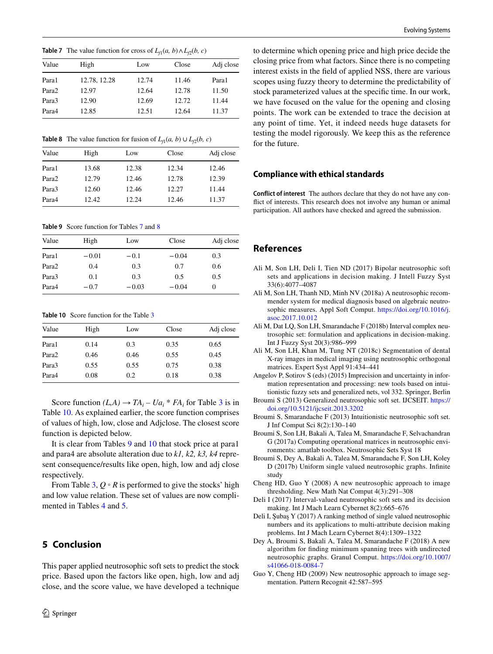<span id="page-5-15"></span>**Table 7** The value function for cross of  $L_f(a, b) ∧ L_f(b, c)$ 

| Value | High         | Low   | Close | Adj close |
|-------|--------------|-------|-------|-----------|
| Para1 | 12.78, 12.28 | 12.74 | 11.46 | Para1     |
| Para2 | 12.97        | 12.64 | 12.78 | 11.50     |
| Para3 | 12.90        | 12.69 | 12.72 | 11.44     |
| Para4 | 12.85        | 12.51 | 12.64 | 11.37     |
|       |              |       |       |           |

<span id="page-5-16"></span>**Table 8** The value function for fusion of  $L_f(a, b) \cup L_f(b, c)$ 

| Value             | High   | Low   | Close | Adj close |
|-------------------|--------|-------|-------|-----------|
| Para1             | 13.68  | 12.38 | 12.34 | 12.46     |
| Para <sub>2</sub> | 12.79  | 12.46 | 12.78 | 12.39     |
| Para3             | 12.60  | 12.46 | 12.27 | 11.44     |
| Para4             | 12.42. | 12.24 | 12.46 | 11.37     |

<span id="page-5-17"></span>**Table 9** Score function for Tables [7](#page-5-15) and [8](#page-5-16)

| Value             | High    | Low     | Close   | Adj close |
|-------------------|---------|---------|---------|-----------|
| Para1             | $-0.01$ | $-0.1$  | $-0.04$ | 0.3       |
| Para <sub>2</sub> | 0.4     | 0.3     | 0.7     | 0.6       |
| Para3             | 0.1     | 0.3     | 0.5     | 0.5       |
| Para4             | $-0.7$  | $-0.03$ | $-0.04$ | $_{0}$    |

<span id="page-5-18"></span>**Table 10** Score function for the Table [3](#page-3-2)

| Value | High | Low  | Close | Adj close |
|-------|------|------|-------|-----------|
| Para1 | 0.14 | 0.3  | 0.35  | 0.65      |
| Para2 | 0.46 | 0.46 | 0.55  | 0.45      |
| Para3 | 0.55 | 0.55 | 0.75  | 0.38      |
| Para4 | 0.08 | 0.2  | 0.18  | 0.38      |

Score function  $(L, A) \rightarrow TA_i - Ua_i * FA_i$  for Table [3](#page-3-2) is in Table [10.](#page-5-18) As explained earlier, the score function comprises of values of high, low, close and Adjclose. The closest score function is depicted below.

It is clear from Tables [9](#page-5-17) and [10](#page-5-18) that stock price at para1 and para4 are absolute alteration due to *k1, k2, k3, k4* represent consequence/results like open, high, low and adj close respectively.

From Table [3,](#page-3-2) *Q* ∘ *R* is performed to give the stocks' high and low value relation. These set of values are now complimented in Tables [4](#page-3-3) and [5](#page-4-0).

# <span id="page-5-14"></span>**5 Conclusion**

This paper applied neutrosophic soft sets to predict the stock price. Based upon the factors like open, high, low and adj close, and the score value, we have developed a technique

to determine which opening price and high price decide the closing price from what factors. Since there is no competing interest exists in the field of applied NSS, there are various scopes using fuzzy theory to determine the predictability of stock parameterized values at the specific time. In our work, we have focused on the value for the opening and closing points. The work can be extended to trace the decision at any point of time. Yet, it indeed needs huge datasets for testing the model rigorously. We keep this as the reference for the future.

### **Compliance with ethical standards**

**Conflict of interest** The authors declare that they do not have any conflict of interests. This research does not involve any human or animal participation. All authors have checked and agreed the submission.

### **References**

- <span id="page-5-6"></span>Ali M, Son LH, Deli I, Tien ND (2017) Bipolar neutrosophic soft sets and applications in decision making. J Intell Fuzzy Syst 33(6):4077–4087
- <span id="page-5-7"></span>Ali M, Son LH, Thanh ND, Minh NV (2018a) A neutrosophic recommender system for medical diagnosis based on algebraic neutrosophic measures. Appl Soft Comput. [https://doi.org/10.1016/j.](https://doi.org/10.1016/j.asoc.2017.10.012) [asoc.2017.10.012](https://doi.org/10.1016/j.asoc.2017.10.012)
- <span id="page-5-8"></span>Ali M, Dat LQ, Son LH, Smarandache F (2018b) Interval complex neutrosophic set: formulation and applications in decision-making. Int J Fuzzy Syst 20(3):986–999
- <span id="page-5-9"></span>Ali M, Son LH, Khan M, Tung NT (2018c) Segmentation of dental X-ray images in medical imaging using neutrosophic orthogonal matrices. Expert Syst Appl 91:434–441
- <span id="page-5-13"></span>Angelov P, Sotirov S (eds) (2015) Imprecision and uncertainty in information representation and processing: new tools based on intuitionistic fuzzy sets and generalized nets, vol 332. Springer, Berlin
- <span id="page-5-0"></span>Broumi S (2013) Generalized neutrosophic soft set. IJCSEIT. [https://](https://doi.org/10.5121/ijcseit.2013.3202) [doi.org/10.5121/ijcseit.2013.3202](https://doi.org/10.5121/ijcseit.2013.3202)
- <span id="page-5-1"></span>Broumi S, Smarandache F (2013) Intuitionistic neutrosophic soft set. J Inf Comput Sci 8(2):130–140
- <span id="page-5-10"></span>Broumi S, Son LH, Bakali A, Talea M, Smarandache F, Selvachandran G (2017a) Computing operational matrices in neutrosophic environments: amatlab toolbox. Neutrosophic Sets Syst 18
- <span id="page-5-11"></span>Broumi S, Dey A, Bakali A, Talea M, Smarandache F, Son LH, Koley D (2017b) Uniform single valued neutrosophic graphs. Infinite study
- <span id="page-5-3"></span>Cheng HD, Guo Y (2008) A new neutrosophic approach to image thresholding. New Math Nat Comput 4(3):291–308
- <span id="page-5-2"></span>Deli I (2017) Interval-valued neutrosophic soft sets and its decision making. Int J Mach Learn Cybernet 8(2):665–676
- <span id="page-5-5"></span>Deli I, Şubaş Y (2017) A ranking method of single valued neutrosophic numbers and its applications to multi-attribute decision making problems. Int J Mach Learn Cybernet 8(4):1309–1322
- <span id="page-5-12"></span>Dey A, Broumi S, Bakali A, Talea M, Smarandache F (2018) A new algorithm for finding minimum spanning trees with undirected neutrosophic graphs. Granul Comput. [https://doi.org/10.1007/](https://doi.org/10.1007/s41066-018-0084-7) [s41066-018-0084-7](https://doi.org/10.1007/s41066-018-0084-7)
- <span id="page-5-4"></span>Guo Y, Cheng HD (2009) New neutrosophic approach to image segmentation. Pattern Recognit 42:587–595